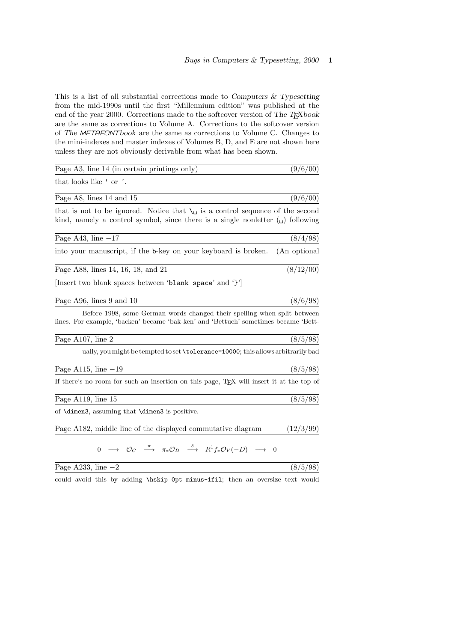This is a list of all substantial corrections made to Computers  $\&$  Typesetting from the mid-1990s until the first "Millennium edition" was published at the end of the year 2000. Corrections made to the softcover version of The T<sub>E</sub>Xbook are the same as corrections to Volume A. Corrections to the softcover version of The METAFONTbook are the same as corrections to Volume C. Changes to the mini-indexes and master indexes of Volumes B, D, and E are not shown here unless they are not obviously derivable from what has been shown.

| Page A3, line 14 (in certain printings only)                                                                                                                                                          | (9/6/00)     |
|-------------------------------------------------------------------------------------------------------------------------------------------------------------------------------------------------------|--------------|
| that looks like ' or '.                                                                                                                                                                               |              |
| Page A8, lines 14 and 15                                                                                                                                                                              | (9/6/00)     |
| that is not to be ignored. Notice that $\setminus_{\square}$ is a control sequence of the second<br>kind, namely a control symbol, since there is a single nonletter $\left(\bigcup\right)$ following |              |
| Page A43, line $-17$                                                                                                                                                                                  | (8/4/98)     |
| into your manuscript, if the b-key on your keyboard is broken.                                                                                                                                        | (An optional |
| Page A88, lines 14, 16, 18, and 21                                                                                                                                                                    | (8/12/00)    |
| [Insert two blank spaces between 'blank space' and '}']                                                                                                                                               |              |
| Page A96, lines 9 and 10                                                                                                                                                                              | (8/6/98)     |
| Before 1998, some German words changed their spelling when split between<br>lines. For example, 'backen' became 'bak-ken' and 'Bettuch' sometimes became 'Bett-                                       |              |
| Page A107, line 2                                                                                                                                                                                     | (8/5/98)     |
| ually, you might be tempted to set \tolerance=10000; this allows arbitrarily bad                                                                                                                      |              |
| Page A115, line $-19$                                                                                                                                                                                 | (8/5/98)     |
| If there's no room for such an insertion on this page, T <sub>E</sub> X will insert it at the top of                                                                                                  |              |
| Page $A119$ , line 15                                                                                                                                                                                 | (8/5/98)     |
| of \dimen3, assuming that \dimen3 is positive.                                                                                                                                                        |              |
| Page A182, middle line of the displayed commutative diagram                                                                                                                                           | (12/3/99)    |
| $0 \rightarrow \mathcal{O}_C \stackrel{\pi}{\longrightarrow} \pi_* \mathcal{O}_D \stackrel{\delta}{\longrightarrow} R^1 f_* \mathcal{O}_V (-D) \rightarrow 0$                                         |              |
| Page A233, line $-2$                                                                                                                                                                                  | (8/5/98)     |

could avoid this by adding \hskip 0pt minus-1fil; then an oversize text would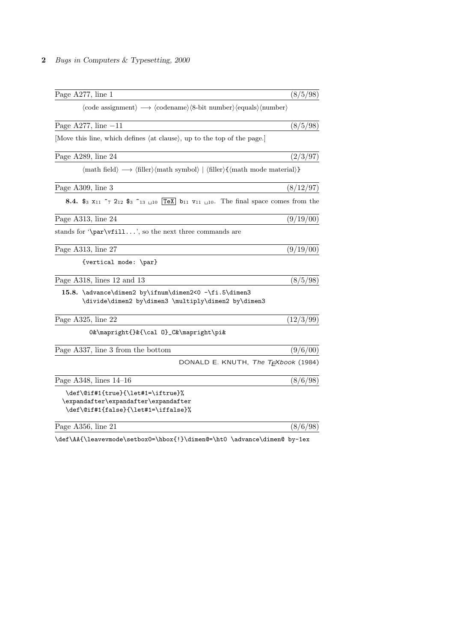| Page $A277$ , line 1                                                                                                                                                                     | (8/5/98)  |
|------------------------------------------------------------------------------------------------------------------------------------------------------------------------------------------|-----------|
| $\langle \text{code assignment} \rangle \longrightarrow \langle \text{codename} \rangle \langle \text{8-bit number} \rangle \langle \text{equals} \rangle \langle \text{number} \rangle$ |           |
| Page A277, line $-11$                                                                                                                                                                    | (8/5/98)  |
| [Move this line, which defines (at clause), up to the top of the page.]                                                                                                                  |           |
| Page A289, line 24                                                                                                                                                                       | (2/3/97)  |
| $\langle \text{math field} \rangle \longrightarrow \langle \text{filter} \rangle \langle \text{math symbol} \rangle   \langle \text{filter} \rangle \langle \text{math model} \rangle$   |           |
| Page A309, line 3                                                                                                                                                                        | (8/12/97) |
|                                                                                                                                                                                          |           |
| Page A313, line 24                                                                                                                                                                       | (9/19/00) |
| stands for $\parrow$ $\lnot$ $\ldots$ , so the next three commands are                                                                                                                   |           |
| Page A313, line 27                                                                                                                                                                       | (9/19/00) |
| {vertical mode: \par}                                                                                                                                                                    |           |
| Page A318, lines 12 and 13                                                                                                                                                               | (8/5/98)  |
| 15.8. \advance\dimen2 by\ifnum\dimen2<0 -\fi.5\dimen3<br>\divide\dimen2 by\dimen3 \multiply\dimen2 by\dimen3                                                                             |           |
| Page A325, line 22                                                                                                                                                                       | (12/3/99) |
| 0&\mapright{}&{\cal 0}_C&\mapright\pi&                                                                                                                                                   |           |
| Page A337, line 3 from the bottom                                                                                                                                                        | (9/6/00)  |
| DONALD E. KNUTH, The TEXbook (1984)                                                                                                                                                      |           |
| Page A348, lines $14-16$                                                                                                                                                                 | (8/6/98)  |
| \def\@if#1{true}{\let#1=\iftrue}%                                                                                                                                                        |           |
| \expandafter\expandafter\expandafter<br>\def\@if#1{false}{\let#1=\iffalse}%                                                                                                              |           |
|                                                                                                                                                                                          |           |
| Page A356, line 21                                                                                                                                                                       | (8/6/98)  |

 $\label{thm:main} $$\def\AA{\\leavevmode\setbox0=\hbox{!}}\dim\mathbb{P}\to \advance\dim\mathbb{p}-1ex$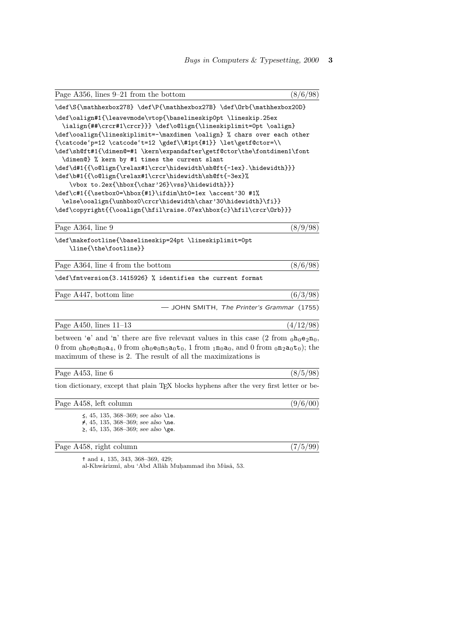| Page $A356$ , lines $9-21$ from the bottom                                                                                                                                                                                                                                                                                                                                                                                                                                                                                                                                                                                                                                                                                                                                                           | (8/6/98)  |
|------------------------------------------------------------------------------------------------------------------------------------------------------------------------------------------------------------------------------------------------------------------------------------------------------------------------------------------------------------------------------------------------------------------------------------------------------------------------------------------------------------------------------------------------------------------------------------------------------------------------------------------------------------------------------------------------------------------------------------------------------------------------------------------------------|-----------|
| \def\S{\mathhexbox278} \def\P{\mathhexbox27B} \def\0rb{\mathhexbox20D}                                                                                                                                                                                                                                                                                                                                                                                                                                                                                                                                                                                                                                                                                                                               |           |
| \def\oalign#1{\leavevmode\vtop{\baselineskip0pt \lineskip.25ex<br>\ialign{##\crcr#1\crcr}}} \def\o@lign{\lineskiplimit=0pt \oalign}<br>\def\ooalign{\lineskiplimit=-\maxdimen \oalign} % chars over each other<br>{\catcode'p=12 \catcode't=12 \gdef\\#1pt{#1}} \let\getf@ctor=\\<br>\def\sh@ft#1{\dimen@=#1 \kern\expandafter\getf@ctor\the\fontdimen1\font<br>\dimen@} % kern by #1 times the current slant<br>\def\d#1{{\o@lign{\relax#1\crcr\hidewidth\sh@ft{-1ex}.\hidewidth}}}<br>\def\b#1{{\o@lign{\relax#1\crcr\hidewidth\sh@ft{-3ex}%<br>\vbox to.2ex{\hbox{\char'26}\vss}\hidewidth}}}<br>\def\c#1{{\setbox0=\hbox{#1}\ifdim\ht0=1ex \accent'30 #1%<br>\else\ooalign{\unhbox0\crcr\hidewidth\char'30\hidewidth}\fi}}<br>\def\copyright{{\ooalign{\hfil\raise.07ex\hbox{c}\hfil\crcr\0rb}}} |           |
| Page A364, line 9                                                                                                                                                                                                                                                                                                                                                                                                                                                                                                                                                                                                                                                                                                                                                                                    | (8/9/98)  |
| \def\makefootline{\baselineskip=24pt \lineskiplimit=0pt<br>\line{\the\footline}}                                                                                                                                                                                                                                                                                                                                                                                                                                                                                                                                                                                                                                                                                                                     |           |
| Page A364, line 4 from the bottom                                                                                                                                                                                                                                                                                                                                                                                                                                                                                                                                                                                                                                                                                                                                                                    | (8/6/98)  |
| \def\fmtversion{3.1415926} % identifies the current format                                                                                                                                                                                                                                                                                                                                                                                                                                                                                                                                                                                                                                                                                                                                           |           |
| Page A447, bottom line                                                                                                                                                                                                                                                                                                                                                                                                                                                                                                                                                                                                                                                                                                                                                                               | (6/3/98)  |
| - JOHN SMITH, The Printer's Grammar (1755)                                                                                                                                                                                                                                                                                                                                                                                                                                                                                                                                                                                                                                                                                                                                                           |           |
| Page A450, lines $11-13$                                                                                                                                                                                                                                                                                                                                                                                                                                                                                                                                                                                                                                                                                                                                                                             | (4/12/98) |
| between 'e' and 'n' there are five relevant values in this case $(2 \text{ from } \rho h_0 e_2 n_0)$ ,<br>0 from $_0h_0e_0n_0a_4$ , 0 from $_0h_0e_0n_5a_0t_0$ , 1 from $_1n_0a_0$ , and 0 from $_0n_2a_0t_0$ ; the<br>maximum of these is 2. The result of all the maximizations is                                                                                                                                                                                                                                                                                                                                                                                                                                                                                                                 |           |
| Page A453, line 6                                                                                                                                                                                                                                                                                                                                                                                                                                                                                                                                                                                                                                                                                                                                                                                    | (8/5/98)  |
| tion dictionary, except that plain TEX blocks hyphens after the very first letter or be-                                                                                                                                                                                                                                                                                                                                                                                                                                                                                                                                                                                                                                                                                                             |           |
| Page A458, left column                                                                                                                                                                                                                                                                                                                                                                                                                                                                                                                                                                                                                                                                                                                                                                               | (9/6/00)  |
| $\leq$ , 45, 135, 368-369; see also \le.<br>$\neq$ , 45, 135, 368-369; see also \ne.<br>$\geq$ , 45, 135, 368–369; see also \ge.                                                                                                                                                                                                                                                                                                                                                                                                                                                                                                                                                                                                                                                                     |           |
| Page A458, right column                                                                                                                                                                                                                                                                                                                                                                                                                                                                                                                                                                                                                                                                                                                                                                              | (7/5/99)  |

↑ and ↓, 135, 343, 368–369, 429;

al-Khwârizmî, abu 'Abd Allâh Muḥammad ibn Mûsâ, 53.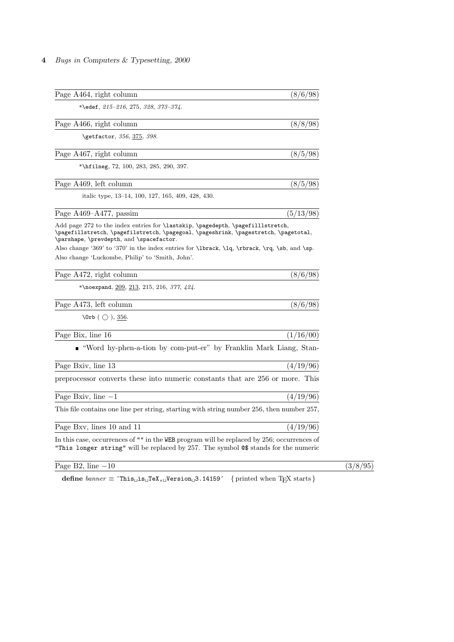| Page A464, right column                                                                                                                                                                                                                                                                                                                   | (8/6/98)  |
|-------------------------------------------------------------------------------------------------------------------------------------------------------------------------------------------------------------------------------------------------------------------------------------------------------------------------------------------|-----------|
| *\edef, $215-216$ , $275$ , $328$ , $373-374$ .                                                                                                                                                                                                                                                                                           |           |
| Page A466, right column                                                                                                                                                                                                                                                                                                                   | (8/8/98)  |
| \getfactor, 356, 375, 398.                                                                                                                                                                                                                                                                                                                |           |
| Page A467, right column                                                                                                                                                                                                                                                                                                                   | (8/5/98)  |
| *\hfilmeg, $72$ , $100$ , $283$ , $285$ , $290$ , $397$ .                                                                                                                                                                                                                                                                                 |           |
| Page A469, left column                                                                                                                                                                                                                                                                                                                    | (8/5/98)  |
| italic type, 13–14, 100, 127, 165, 409, 428, 430.                                                                                                                                                                                                                                                                                         |           |
| Page A469-A477, passim                                                                                                                                                                                                                                                                                                                    | (5/13/98) |
| Add page 272 to the index entries for <i>lastskip</i> , <i>pagedepth</i> , <i>pagefillistretch</i> ,<br>\pagefillstretch, \pagefilstretch, \pagegoal, \pageshrink, \pagestretch, \pagetotal,<br>\parshape, \prevdepth, and \spacefactor.<br>Also change '369' to '370' in the index entries for \1brack, \1q, \rbrack, \rq, \sb, and \sp. |           |
| Also change 'Luckombe, Philip' to 'Smith, John'.                                                                                                                                                                                                                                                                                          |           |
| Page A472, right column                                                                                                                                                                                                                                                                                                                   | (8/6/98)  |
| *\noexpand, 209, 213, 215, 216, 377, $424$ .                                                                                                                                                                                                                                                                                              |           |
| Page A473, left column                                                                                                                                                                                                                                                                                                                    | (8/6/98)  |
| $\langle$ Orb $( \cap )$ , 356.                                                                                                                                                                                                                                                                                                           |           |
| Page Bix, line 16                                                                                                                                                                                                                                                                                                                         | (1/16/00) |
| ■ "Word hy-phen-a-tion by com-put-er" by Franklin Mark Liang, Stan-                                                                                                                                                                                                                                                                       |           |
| Page Bxiv, line 13                                                                                                                                                                                                                                                                                                                        | (4/19/96) |
| preprocessor converts these into numeric constants that are 256 or more. This                                                                                                                                                                                                                                                             |           |
| Page Bxiv, line $-1$                                                                                                                                                                                                                                                                                                                      | (4/19/96) |
| This file contains one line per string, starting with string number 256, then number 257,                                                                                                                                                                                                                                                 |           |
| Page Bxv, lines 10 and 11                                                                                                                                                                                                                                                                                                                 | (4/19/96) |
| In this case, occurrences of "" in the WEB program will be replaced by 256; occurrences of<br>"This longer string" will be replaced by 257. The symbol $\circ$ \$ stands for the numeric                                                                                                                                                  |           |

Page B2, line  $-10$  (3/8/95)

 $\textbf{define } \textit{ banner} \equiv \texttt{`This\_is\_Test\_Version\_3}.14159' \quad \{ \text{printed when TEX starts} \}$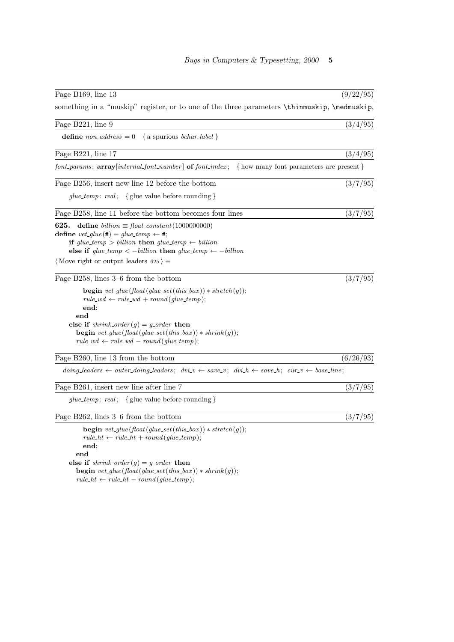| Page B169, line 13                                                                                                                                                                                                                                                                                                                             | (9/22/95) |
|------------------------------------------------------------------------------------------------------------------------------------------------------------------------------------------------------------------------------------------------------------------------------------------------------------------------------------------------|-----------|
|                                                                                                                                                                                                                                                                                                                                                |           |
| something in a "muskip" register, or to one of the three parameters \thinmuskip, \medmuskip,                                                                                                                                                                                                                                                   |           |
| Page B221, line 9                                                                                                                                                                                                                                                                                                                              | (3/4/95)  |
| <b>define</b> $non\_address = 0$ { a spurious <i>bchar_label</i> }                                                                                                                                                                                                                                                                             |           |
| Page B221, line 17                                                                                                                                                                                                                                                                                                                             | (3/4/95)  |
| $font_params: array[internal\_font_number]$ of $font\_index;$ { how many font parameters are present }                                                                                                                                                                                                                                         |           |
| Page B256, insert new line 12 before the bottom                                                                                                                                                                                                                                                                                                | (3/7/95)  |
| $glue\_temp: real; \{ glue value before rounding\}$                                                                                                                                                                                                                                                                                            |           |
| Page B258, line 11 before the bottom becomes four lines                                                                                                                                                                                                                                                                                        | (3/7/95)  |
| define $billion \equiv float\_constant(1000000000)$<br>625.<br>define $vet\_glue(\texttt{\#}) \equiv glue\_temp \leftarrow \texttt{\#};$<br>if glue_temp > billion then glue_temp $\leftarrow$ billion<br>else if $glue\_temp < -billion$ then $glue\_temp \leftarrow -billion$<br>$\langle$ Move right or output leaders 625 $\rangle \equiv$ |           |
| Page B258, lines 3–6 from the bottom                                                                                                                                                                                                                                                                                                           | (3/7/95)  |
| <b>begin</b> vet_glue(float(glue_set(this_box)) $*$ stretch(g));<br>$rule\_wd \leftarrow rule\_wd + round(glue\_temp);$<br>end;<br>end<br>else if $shrink\_\norder(g) = g\_\norder$ then<br><b>begin</b> vet_glue(float(glue_set(this_box)) * shrink(g));<br>$rule\_wd \leftarrow rule\_wd -round(glue\_temp);$                                |           |
| Page B260, line 13 from the bottom                                                                                                                                                                                                                                                                                                             | (6/26/93) |
| $\text{doing}\_\text{leaders} \leftarrow \text{outer}\_\text{doing}\_\text{leaders}; \quad \text{div}\_\text{v} \leftarrow \text{save}\_\text{v}; \quad \text{div}\_\text{h} \leftarrow \text{save}\_\text{h}; \quad \text{cur}\_\text{v} \leftarrow \text{base}\_\text{line};$                                                                |           |
| Page B261, insert new line after line 7                                                                                                                                                                                                                                                                                                        | (3/7/95)  |
| $glue\_temp: \ real; \ \ \{$ glue value before rounding }                                                                                                                                                                                                                                                                                      |           |
| Page B262, lines 3–6 from the bottom                                                                                                                                                                                                                                                                                                           | (3/7/95)  |
| <b>begin</b> vet_glue(float(glue_set(this_box)) $*$ stretch(g));<br>$rule\_ht \leftarrow rule\_ht + round(glue\_temp);$<br>end:<br>end<br>else if $shrink\_order(g) = g\_order$ then<br><b>begin</b> vet_glue(float(glue_set(this_box)) $*$ shrink(g));<br>$rule\_ht \leftarrow rule\_ht - round(glue\_temp);$                                 |           |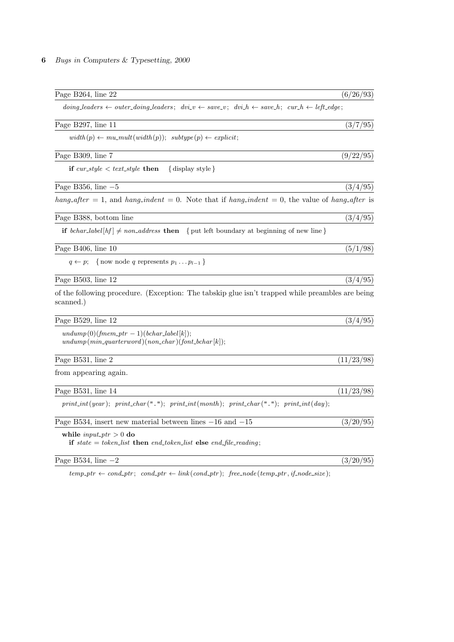| Page B264, line 22                                                                                                                                                                                                                                                  | (6/26/93)  |
|---------------------------------------------------------------------------------------------------------------------------------------------------------------------------------------------------------------------------------------------------------------------|------------|
| $\text{doing}\_\text{leaders} \leftarrow \text{outer}\_\text{doing}\_\text{leaders}; \ \text{div}\_\text{v} \leftarrow \text{save}\_\text{v}; \ \text{div}\_\text{h} \leftarrow \text{save}\_\text{h}; \ \text{cur}\_\text{h} \leftarrow \text{left}\_\text{edge};$ |            |
| Page B297, line 11                                                                                                                                                                                                                                                  | (3/7/95)   |
| $width(p) \leftarrow mu\_mult(width(p)); \; subtype(p) \leftarrow explicit;$                                                                                                                                                                                        |            |
| Page B309, line 7                                                                                                                                                                                                                                                   | (9/22/95)  |
| if $cur\_style < text\_style$ then<br>$\{$ display style $\}$                                                                                                                                                                                                       |            |
| Page B356, line $-5$                                                                                                                                                                                                                                                | (3/4/95)   |
| hang-after = 1, and hang-indent = 0. Note that if hang-indent = 0, the value of hang-after is                                                                                                                                                                       |            |
| Page B388, bottom line                                                                                                                                                                                                                                              | (3/4/95)   |
| <b>if</b> bchar_label $[hf] \neq non-address$ <b>then</b> { put left boundary at beginning of new line}                                                                                                                                                             |            |
| Page B406, line 10                                                                                                                                                                                                                                                  | (5/1/98)   |
| $q \leftarrow p$ ; {now node q represents $p_1 \dots p_{l-1}$ }                                                                                                                                                                                                     |            |
| Page B503, line 12                                                                                                                                                                                                                                                  | (3/4/95)   |
| of the following procedure. (Exception: The tabskip glue isn't trapped while preambles are being<br>scanned.)                                                                                                                                                       |            |
| Page B529, line 12                                                                                                                                                                                                                                                  | (3/4/95)   |
| $undump(0)(fmem\_ptr-1)(bchar\_label[k]);$<br>$undump(min\_quarterword)(non\_char)(font\_bchar[k]);$                                                                                                                                                                |            |
| Page B531, line 2                                                                                                                                                                                                                                                   | (11/23/98) |
| from appearing again.                                                                                                                                                                                                                                               |            |
| Page B531, line 14                                                                                                                                                                                                                                                  | (11/23/98) |
| $print\_int(year);$ $print\_char(" . ");$ $print\_int(month);$ $print\_char(" . ");$ $print\_int(day);$                                                                                                                                                             |            |
| Page B534, insert new material between lines $-16$ and $-15$                                                                                                                                                                                                        | (3/20/95)  |
| while $input\_ptr > 0$ do<br>if state = token_list then end_token_list else end_file_reading;                                                                                                                                                                       |            |
| Page B534, line $-2$                                                                                                                                                                                                                                                | (3/20/95)  |

 $temp\_ptr \leftarrow cond\_ptr; \quad cond\_ptr \leftarrow link (cond\_ptr); \ \ free\_node (temp\_ptr, if\_node\_size);$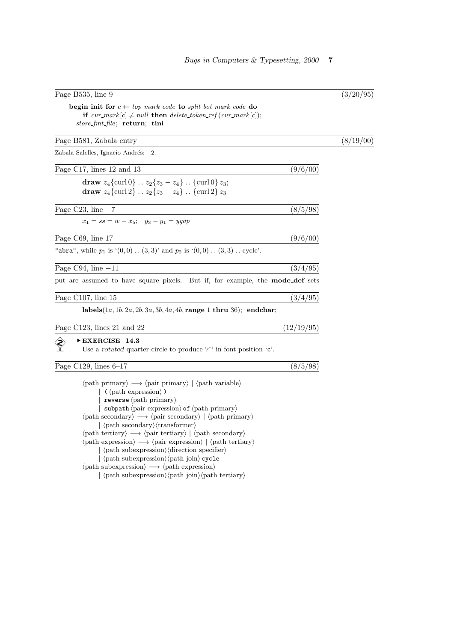| Page B535, line 9                                                                                                                                                                                                                                                                                                                                                                                                                                                                                                                                                                                                                                                                                                                                                                                                                             |            | (3/20/95) |
|-----------------------------------------------------------------------------------------------------------------------------------------------------------------------------------------------------------------------------------------------------------------------------------------------------------------------------------------------------------------------------------------------------------------------------------------------------------------------------------------------------------------------------------------------------------------------------------------------------------------------------------------------------------------------------------------------------------------------------------------------------------------------------------------------------------------------------------------------|------------|-----------|
| begin init for $c \leftarrow top\_mark\_code$ to split_bot_mark_code do<br>if $cur\_mark[c] \neq null$ then delete_token_ref(cur_mark c );<br><i>store_fmt_file</i> ; return; tini                                                                                                                                                                                                                                                                                                                                                                                                                                                                                                                                                                                                                                                            |            |           |
| Page B581, Zabala entry                                                                                                                                                                                                                                                                                                                                                                                                                                                                                                                                                                                                                                                                                                                                                                                                                       |            | (8/19/00) |
| Zabala Salelles, Ignacio Andrés:<br>2.                                                                                                                                                                                                                                                                                                                                                                                                                                                                                                                                                                                                                                                                                                                                                                                                        |            |           |
| Page C17, lines 12 and 13                                                                                                                                                                                                                                                                                                                                                                                                                                                                                                                                                                                                                                                                                                                                                                                                                     | (9/6/00)   |           |
| draw $z_4$ {curl 0} $z_2$ { $z_3$ - $z_4$ } {curl 0} $z_3$ ;<br>draw $z_4$ {curl 2} $z_2$ { $z_3$ - $z_4$ } {curl 2} $z_3$                                                                                                                                                                                                                                                                                                                                                                                                                                                                                                                                                                                                                                                                                                                    |            |           |
| Page C23, line $-7$                                                                                                                                                                                                                                                                                                                                                                                                                                                                                                                                                                                                                                                                                                                                                                                                                           | (8/5/98)   |           |
| $x_1 = ss = w - x_5;$ $y_3 - y_1 = yqap$                                                                                                                                                                                                                                                                                                                                                                                                                                                                                                                                                                                                                                                                                                                                                                                                      |            |           |
| Page C69, line 17                                                                                                                                                                                                                                                                                                                                                                                                                                                                                                                                                                                                                                                                                                                                                                                                                             | (9/6/00)   |           |
| "abra", while $p_1$ is $(0,0)$ $(3,3)$ and $p_2$ is $(0,0)$ $(3,3)$ cycle'.                                                                                                                                                                                                                                                                                                                                                                                                                                                                                                                                                                                                                                                                                                                                                                   |            |           |
| Page C94, line $-11$                                                                                                                                                                                                                                                                                                                                                                                                                                                                                                                                                                                                                                                                                                                                                                                                                          | (3/4/95)   |           |
| put are assumed to have square pixels. But if, for example, the <b>mode_def</b> sets                                                                                                                                                                                                                                                                                                                                                                                                                                                                                                                                                                                                                                                                                                                                                          |            |           |
| Page C107, line 15                                                                                                                                                                                                                                                                                                                                                                                                                                                                                                                                                                                                                                                                                                                                                                                                                            | (3/4/95)   |           |
| labels $(1a, 1b, 2a, 2b, 3a, 3b, 4a, 4b, \text{range 1 thru 36})$ ; endchar;                                                                                                                                                                                                                                                                                                                                                                                                                                                                                                                                                                                                                                                                                                                                                                  |            |           |
| Page C123, lines 21 and 22                                                                                                                                                                                                                                                                                                                                                                                                                                                                                                                                                                                                                                                                                                                                                                                                                    | (12/19/95) |           |
| EXERCISE 14.3<br>Use a rotated quarter-circle to produce $\langle \cdot \rangle$ in font position $\langle \cdot \rangle$ .                                                                                                                                                                                                                                                                                                                                                                                                                                                                                                                                                                                                                                                                                                                   |            |           |
| Page C129, lines $6-17$                                                                                                                                                                                                                                                                                                                                                                                                                                                                                                                                                                                                                                                                                                                                                                                                                       | (8/5/98)   |           |
| $\langle$ path primary $\rangle \longrightarrow \langle$ pair primary $\rangle   \langle$ path variable $\rangle$<br>reverse $\langle$ path primary $\rangle$<br>subpath $\langle$ pair expression $\rangle$ of $\langle$ path primary $\rangle$<br>$\langle \text{path secondary} \rangle \longrightarrow \langle \text{pair secondary} \rangle   \langle \text{path primary} \rangle$<br>$\langle$ \ \thermall \end{parameter} \end{parameter}<br>$\langle$ path tertiary $\rangle \longrightarrow \langle$ pair tertiary $\rangle   \langle$ path secondary $\rangle$<br>$\langle$ path expression $\rangle \longrightarrow \langle$ pair expression $\rangle$   $\langle$ path tertiary $\rangle$<br>  (path subexpression) (path join) cycle<br>$\langle$ path subexpression $\rangle \longrightarrow \langle$ path expression $\rangle$ |            |           |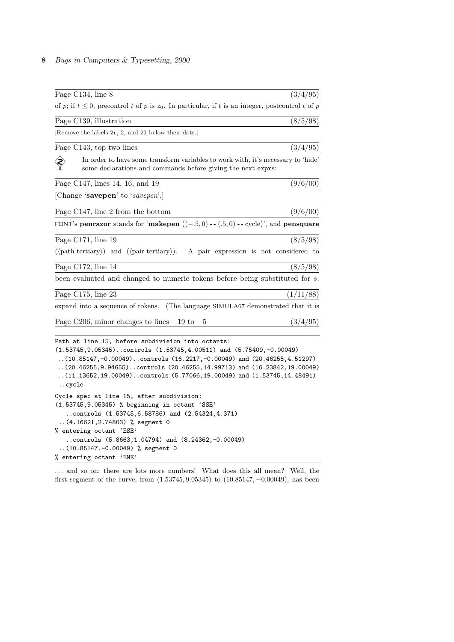## 8 Bugs in Computers & Typesetting, 2000

| Page C134, line 8                                                                                                                                                                                                                                                                                                                                                                     | (3/4/95)                               |
|---------------------------------------------------------------------------------------------------------------------------------------------------------------------------------------------------------------------------------------------------------------------------------------------------------------------------------------------------------------------------------------|----------------------------------------|
| of p; if $t \leq 0$ , precontrol t of p is $z_0$ . In particular, if t is an integer, postcontrol t of p                                                                                                                                                                                                                                                                              |                                        |
| Page C139, illustration                                                                                                                                                                                                                                                                                                                                                               | (8/5/98)                               |
| [Remove the labels 2r, 2, and 21 below their dots.]                                                                                                                                                                                                                                                                                                                                   |                                        |
| Page C143, top two lines                                                                                                                                                                                                                                                                                                                                                              | (3/4/95)                               |
| In order to have some transform variables to work with, it's necessary to 'hide'<br>some declarations and commands before giving the next exprs:                                                                                                                                                                                                                                      |                                        |
| Page C147, lines 14, 16, and 19                                                                                                                                                                                                                                                                                                                                                       | (9/6/00)                               |
| [Change 'savepen' to 'savepen'.]                                                                                                                                                                                                                                                                                                                                                      |                                        |
| Page C147, line 2 from the bottom                                                                                                                                                                                                                                                                                                                                                     | (9/6/00)                               |
| FONT's penrazor stands for 'makepen $((-5,0) - (.5,0) - .$ cycle)', and pensquare                                                                                                                                                                                                                                                                                                     |                                        |
| Page $C171$ , line 19                                                                                                                                                                                                                                                                                                                                                                 | (8/5/98)                               |
| $(\langle \text{path tertiary}\rangle)$ and $(\langle \text{pair tertiary}\rangle)$ .                                                                                                                                                                                                                                                                                                 | A pair expression is not considered to |
| Page C172, line 14                                                                                                                                                                                                                                                                                                                                                                    | (8/5/98)                               |
| been evaluated and changed to numeric tokens before being substituted for s.                                                                                                                                                                                                                                                                                                          |                                        |
| Page C175, line 23                                                                                                                                                                                                                                                                                                                                                                    | (1/11/88)                              |
| expand into a sequence of tokens. (The language SIMULA67 demonstrated that it is                                                                                                                                                                                                                                                                                                      |                                        |
| Page C206, minor changes to lines $-19$ to $-5$                                                                                                                                                                                                                                                                                                                                       | (3/4/95)                               |
| Path at line 15, before subdivision into octants:<br>$(1.53745, 9.05345)$ controls $(1.53745, 4.00511)$ and $(5.75409, -0.00049)$<br>(10.85147,-0.00049)controls (16.2217,-0.00049) and (20.46255,4.51297)<br>$(20.46255, 9.94655)$ .controls $(20.46255, 14.99713)$ and $(16.23842, 19.00049)$<br>$(11.13652, 19.00049)$ controls (5.77066,19.00049) and (1.53745,14.48491)<br>cycle |                                        |

```
Cycle spec at line 15, after subdivision:
(1.53745,9.05345) % beginning in octant 'SSE'
   ..controls (1.53745,6.58786) and (2.54324,4.371)
..(4.16621,2.74803) % segment 0
% entering octant 'ESE'
   ..controls (5.8663,1.04794) and (8.24362,-0.00049)
 ..(10.85147,-0.00049) % segment 0
% entering octant 'ENE'
```
... and so on; there are lots more numbers! What does this all mean? Well, the first segment of the curve, from (1.53745, 9.05345) to (10.85147, −0.00049), has been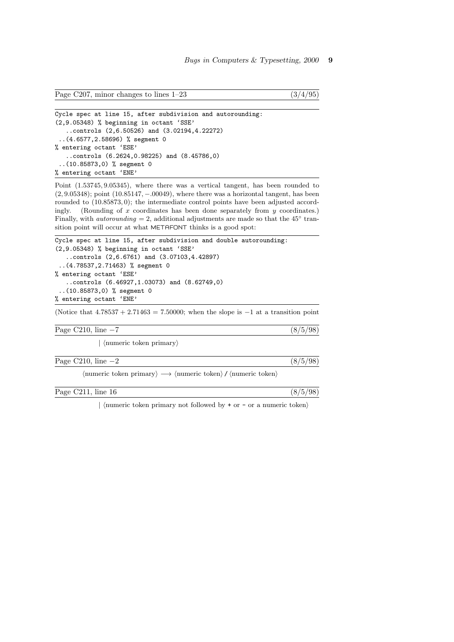```
Page C207, minor changes to lines 1-23 (3/4/95)
```

```
Cycle spec at line 15, after subdivision and autorounding:
(2,9.05348) % beginning in octant 'SSE'
   ..controls (2,6.50526) and (3.02194,4.22272)
 ..(4.6577,2.58696) % segment 0
% entering octant 'ESE'
   ..controls (6.2624,0.98225) and (8.45786,0)
 ..(10.85873,0) % segment 0
% entering octant 'ENE'
```
Point (1.53745, 9.05345), where there was a vertical tangent, has been rounded to (2, 9.05348); point (10.85147, −.00049), where there was a horizontal tangent, has been rounded to (10.85873, 0); the intermediate control points have been adjusted accordingly. (Rounding of  $x$  coordinates has been done separately from  $y$  coordinates.) Finally, with *autorounding* = 2, additional adjustments are made so that the  $45^\circ$  transition point will occur at what METAFONT thinks is a good spot:

```
Cycle spec at line 15, after subdivision and double autorounding:
(2,9.05348) % beginning in octant 'SSE'
   ..controls (2,6.6761) and (3.07103,4.42897)
 ..(4.78537,2.71463) % segment 0
% entering octant 'ESE'
   ..controls (6.46927,1.03073) and (8.62749,0)
 ..(10.85873,0) % segment 0
% entering octant 'ENE'
```
(Notice that  $4.78537 + 2.71463 = 7.50000$ ; when the slope is  $-1$  at a transition point

| Page C210, line $-7$ |  |  |
|----------------------|--|--|
|                      |  |  |

 $\langle$  humeric token primary

Page C210, line  $-2$  (8/5/98)

 $\langle$  humeric token primary $\rangle \longrightarrow \langle$  humeric token $\rangle$  /  $\langle$  humeric token $\rangle$ 

Page C211, line 16  $(8/5/98)$ 

| (numeric token primary not followed by  $+$  or  $-$  or a numeric token)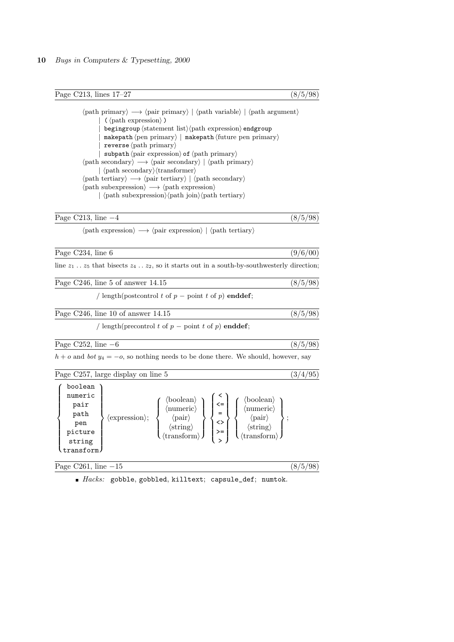Page C213, lines 17–27 (8/5/98)

 $\langle$ path primary $\rangle \longrightarrow \langle$ pair primary $\rangle$  |  $\langle$ path variable $\rangle$  |  $\langle$ path argument $\rangle$  $(\langle \text{path expression} \rangle)$  $begin{cases} \texttt{begin} \texttt{output} \end{cases}$  (statement list)  $\langle \texttt{path} \end{cases}$  expression) endgroup  $makepath (pen primary) | makepath (future pen primary)$  $reverse \langle path \, primary \rangle$ | subpath  $\langle$  pair expression $\rangle$  of  $\langle$  path primary $\rangle$  $\langle \text{path secondary} \rangle \longrightarrow \langle \text{pair secondary} \rangle \mid \langle \text{path primary} \rangle$  $|\langle \text{path secondary}\rangle\langle \text{transformer}\rangle$  $\langle \text{path tertiary} \rangle \longrightarrow \langle \text{pair tertiary} \rangle | \langle \text{path secondary} \rangle$  $\langle$ path subexpression $\rangle \longrightarrow \langle$ path expression $\rangle$  $|\langle \text{path subexpression} \rangle \langle \text{path join} \rangle \langle \text{path tertiary} \rangle$ 

| Page<br>$\mu$ me $-4$<br>$-1$ |  | $\Omega$ |
|-------------------------------|--|----------|
|                               |  |          |

 $\langle$  path expression $\rangle \longrightarrow \langle$  pair expression $\rangle$  |  $\langle$  path tertiary $\rangle$ 

| Page C234, line 6 |                                                                                                     | (9/6/00) |
|-------------------|-----------------------------------------------------------------------------------------------------|----------|
|                   | line $z_1$ $z_5$ that bisects $z_4$ $z_2$ , so it starts out in a south-by-southwesterly direction; |          |

Page C246, line 5 of answer 14.15 (8/5/98)

/ length(postcontrol t of  $p$  – point t of  $p$ ) enddef;

Page C246, line 10 of answer 14.15 (8/5/98)

/ length(precontrol t of  $p$  – point t of  $p$ ) enddef;

Page C252, line  $-6$  (8/5/98)

 $h + o$  and bot  $y_4 = -o$ , so nothing needs to be done there. We should, however, say

Page C257, large display on line 5  $(3/4/95)$ 

| boolean<br>numeric<br>pair<br>path<br>pen<br>picture<br>string<br>transform | $\langle$ expression $\rangle$ ; | (boolean)<br>$\langle$ boolean $\rangle$<br>$\leq$<br>$\langle$ numeric $\rangle$<br>$\langle$ numeric $\rangle$<br>$=$<br>$\langle\text{pair}\rangle$<br>$\langle pair \rangle$<br><><br>$\langle \text{string} \rangle$<br>$\langle {\rm string} \rangle$<br>$>=$<br>$\langle \text{transform} \rangle$<br>$\langle$ transform $\rangle$ |
|-----------------------------------------------------------------------------|----------------------------------|--------------------------------------------------------------------------------------------------------------------------------------------------------------------------------------------------------------------------------------------------------------------------------------------------------------------------------------------|
|-----------------------------------------------------------------------------|----------------------------------|--------------------------------------------------------------------------------------------------------------------------------------------------------------------------------------------------------------------------------------------------------------------------------------------------------------------------------------------|

Page C261, line  $-15$  (8/5/98)

 $Hacks:$  gobble, gobbled, killtext; capsule\_def; numtok.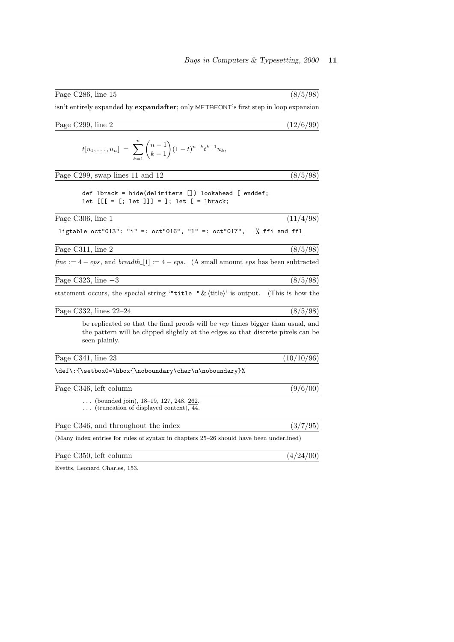| isn't entirely expanded by <b>expandafter</b> ; only METAFONT's first step in loop expansion                                                                                         |               |
|--------------------------------------------------------------------------------------------------------------------------------------------------------------------------------------|---------------|
| Page C299, line 2                                                                                                                                                                    | (12/6/99)     |
| $t[u_1,\ldots,u_n] = \sum_{k=1}^n {n-1 \choose k-1} (1-t)^{n-k} t^{k-1} u_k,$                                                                                                        |               |
| Page C299, swap lines 11 and 12                                                                                                                                                      | (8/5/98)      |
| def lbrack = hide(delimiters []) lookahead [ enddef;<br>let $[[[ = [; let ]]] = ]; let [ = lbrack;$                                                                                  |               |
| Page C306, line 1                                                                                                                                                                    | (11/4/98)     |
| ligtable oct"013": "i" =: oct"016", "l" =: oct"017",                                                                                                                                 | % ffi and ffl |
| Page C311, line 2                                                                                                                                                                    | (8/5/98)      |
| $fine := 4 -eps$ , and $breadth.[1] := 4 -eps$ . (A small amount eps has been subtracted                                                                                             |               |
| Page C323, line $-3$                                                                                                                                                                 | (8/5/98)      |
| statement occurs, the special string ""title " $\&$ (title)' is output. (This is how the                                                                                             |               |
| Page C332, lines $22-24$                                                                                                                                                             | (8/5/98)      |
| be replicated so that the final proofs will be rep times bigger than usual, and<br>the pattern will be clipped slightly at the edges so that discrete pixels can be<br>seen plainly. |               |
| Page C341, line 23                                                                                                                                                                   | (10/10/96)    |
| \def\:{\setbox0=\hbox{\noboundary\char\n\noboundary}%                                                                                                                                |               |
| Page C346, left column                                                                                                                                                               | (9/6/00)      |
| (bounded join), $18-19$ , $127$ , $248$ , $262$ .<br>$\ldots$ (truncation of displayed context), 44.                                                                                 |               |
| Page C346, and throughout the index                                                                                                                                                  | (3/7/95)      |
| (Many index entries for rules of syntax in chapters 25–26 should have been underlined)                                                                                               |               |
| Page C350, left column                                                                                                                                                               | (4/24/00)     |

Page C286, line 15 (8/5/98)

Evetts, Leonard Charles, 153.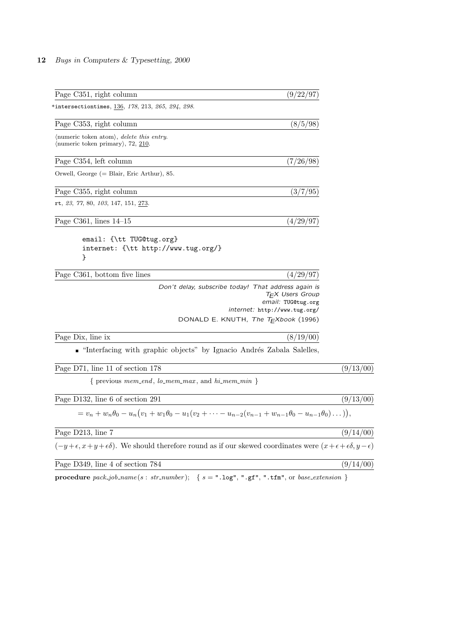## 12 Bugs in Computers & Typesetting, 2000

| Page C351, right column                                                                                                                     | (9/22/97)                                                                                                                                                                         |           |
|---------------------------------------------------------------------------------------------------------------------------------------------|-----------------------------------------------------------------------------------------------------------------------------------------------------------------------------------|-----------|
| $^*$ intersectiontimes, $\underline{136},$ $178,$ $213,$ $265,$ $294,$ $298.$                                                               |                                                                                                                                                                                   |           |
| Page C353, right column                                                                                                                     | (8/5/98)                                                                                                                                                                          |           |
| (numeric token atom), <i>delete this entry</i> .<br>$\langle$ numeric token primary $\rangle$ , 72, 210.                                    |                                                                                                                                                                                   |           |
| Page C354, left column                                                                                                                      | (7/26/98)                                                                                                                                                                         |           |
| Orwell, George $(=$ Blair, Eric Arthur), 85.                                                                                                |                                                                                                                                                                                   |           |
| Page C355, right column                                                                                                                     | (3/7/95)                                                                                                                                                                          |           |
| rt, <i>23, 77,</i> 80, <i>103,</i> 147, 151, <u>273</u> .                                                                                   |                                                                                                                                                                                   |           |
| Page C361, lines $14-15$                                                                                                                    | (4/29/97)                                                                                                                                                                         |           |
| email: {\tt TUG@tug.org}<br>internet: {\tt http://www.tug.org/}<br>ł                                                                        |                                                                                                                                                                                   |           |
| Page C361, bottom five lines                                                                                                                | (4/29/97)                                                                                                                                                                         |           |
|                                                                                                                                             | Don't delay, subscribe today! That address again is<br>T <sub>F</sub> X Users Group<br>email: TUG@tug.org<br>internet: http://www.tug.org/<br>DONALD E. KNUTH, The TEXbook (1996) |           |
| Page Dix, line ix                                                                                                                           | (8/19/00)                                                                                                                                                                         |           |
| • "Interfacing with graphic objects" by Ignacio Andrés Zabala Salelles,                                                                     |                                                                                                                                                                                   |           |
| Page D71, line 11 of section 178                                                                                                            |                                                                                                                                                                                   | (9/13/00) |
| { previous $mem\_end$ , $lo\_mem\_max$ , and $hi\_mem\_min$ }                                                                               |                                                                                                                                                                                   |           |
| Page D132, line 6 of section 291                                                                                                            |                                                                                                                                                                                   | (9/13/00) |
| $= v_n + w_n \theta_0 - u_n (v_1 + w_1 \theta_0 - u_1 (v_2 + \cdots - u_{n-2} (v_{n-1} + w_{n-1} \theta_0 - u_{n-1} \theta_0) \dots)),$     |                                                                                                                                                                                   |           |
| Page D213, line 7                                                                                                                           |                                                                                                                                                                                   | (9/14/00) |
| $(-y+\epsilon, x+y+\epsilon\delta)$ . We should therefore round as if our skewed coordinates were $(x+\epsilon+\epsilon\delta, y-\epsilon)$ |                                                                                                                                                                                   |           |
| Page D349, line 4 of section 784                                                                                                            |                                                                                                                                                                                   | (9/14/00) |

procedure  $pack\_job_name(s : str_number);$  { $s = "llog", "lgf", "ltfm", or base_e extension$ }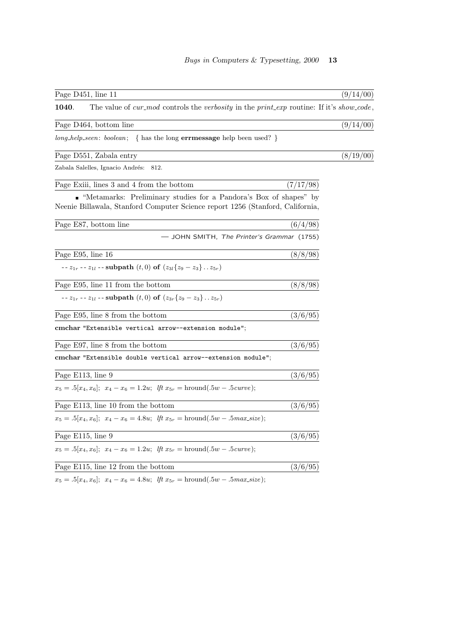| Page D451, line 11                                                                                                                                    | (9/14/00) |
|-------------------------------------------------------------------------------------------------------------------------------------------------------|-----------|
| The value of cur_mod controls the verbosity in the print_exp routine: If it's show_code,<br>1040.                                                     |           |
| Page D464, bottom line                                                                                                                                | (9/14/00) |
| $long_{\text{}^{th}}$ long-help-seen: boolean; { has the long <b>errmessage</b> help been used? }                                                     |           |
| Page D551, Zabala entry                                                                                                                               | (8/19/00) |
| Zabala Salelles, Ignacio Andrés:<br>812.                                                                                                              |           |
| Page Exili, lines 3 and 4 from the bottom<br>(7/17/98)                                                                                                |           |
| • "Metamarks: Preliminary studies for a Pandora's Box of shapes" by<br>Neenie Billawala, Stanford Computer Science report 1256 (Stanford, California, |           |
| (6/4/98)<br>Page E87, bottom line                                                                                                                     |           |
| — JOHN SMITH, The Printer's Grammar (1755)                                                                                                            |           |
| (8/8/98)<br>Page E95, line 16                                                                                                                         |           |
| -- $z_{1r}$ -- $z_{1l}$ -- subpath $(t,0)$ of $(z_{3l} \{z_9 - z_3\}  z_{5r})$                                                                        |           |
| Page E95, line 11 from the bottom<br>(8/8/98)                                                                                                         |           |
| -- $z_{1r}$ -- $z_{1l}$ -- subpath $(t,0)$ of $(z_{3r} \{z_9 - z_3\}  z_{5r})$                                                                        |           |
| Page E95, line 8 from the bottom<br>(3/6/95)                                                                                                          |           |
| cmchar "Extensible vertical arrow--extension module";                                                                                                 |           |
| Page E97, line 8 from the bottom<br>(3/6/95)                                                                                                          |           |
| cmchar "Extensible double vertical arrow--extension module";                                                                                          |           |
| Page E113, line 9<br>(3/6/95)                                                                                                                         |           |
| $x_5 = .5[x_4, x_6];$ $x_4 - x_6 = 1.2u;$ If $x_{5r} = \text{hround}(.5w - .5curve);$                                                                 |           |
| Page E113, line 10 from the bottom<br>(3/6/95)                                                                                                        |           |
| $x_5 = .5[x_4, x_6]; \ x_4 - x_6 = 4.8u; \ \text{iff } x_{5r} = \text{hround}(.5w - .5max\_size);$                                                    |           |
| Page E115, line 9<br>(3/6/95)                                                                                                                         |           |
| $x_5 = .5[x_4, x_6]; \ x_4 - x_6 = 1.2u; \ \text{If } x_{5r} = \text{hround}(.5w - .5curve);$                                                         |           |
| Page E115, line 12 from the bottom<br>(3/6/95)                                                                                                        |           |
|                                                                                                                                                       |           |

 $x_5 = .5[x_4, x_6]; \ x_4 - x_6 = 4.8u; \ \text{iff } x_{5r} = \text{hround}(.5w - .5\text{max\_size});$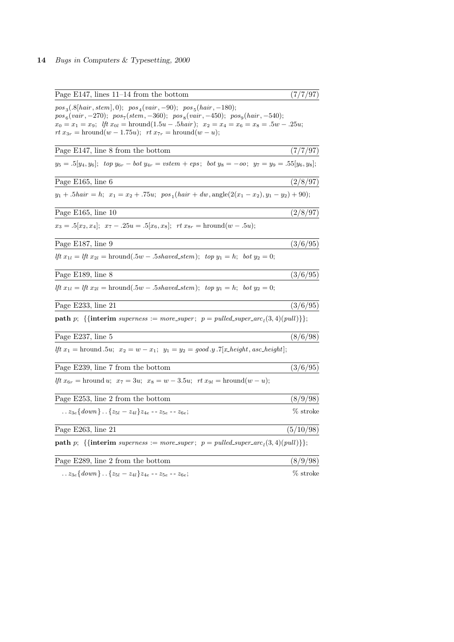## 14 Bugs in Computers & Typesetting, 2000

| Page $E147$ , lines 11–14 from the bottom                                                                                                                                                                                                                                                                                                    | (7/7/97)  |
|----------------------------------------------------------------------------------------------------------------------------------------------------------------------------------------------------------------------------------------------------------------------------------------------------------------------------------------------|-----------|
| $pos_3(.8[hair, stem], 0); pos_4(vair, -90); pos_5(hair, -180);$<br>$pos_6(vair, -270); pos_7(stem, -360); pos_8(vair, -450); pos_9(hair, -540);$<br>$x_0 = x_1 = x_9$ ; $lft x_{0l} = \text{hround}(1.5u - .5hair)$ ; $x_2 = x_4 = x_6 = x_8 = .5w - .25u$ ;<br>$rt x_{3r} = \text{hround}(w - 1.75u);$ $rt x_{7r} = \text{hround}(w - u);$ |           |
| Page E147, line 8 from the bottom                                                                                                                                                                                                                                                                                                            | (7/7/97)  |
| $y_5 = .5[y_4, y_6];$ top $y_{6r} - bot y_{4r} = vstem +eps; bot y_8 = -oo; y_7 = y_9 = .55[y_6, y_8];$                                                                                                                                                                                                                                      |           |
| Page E165, line 6                                                                                                                                                                                                                                                                                                                            | (2/8/97)  |
| $y_1 + .5hair = h;$ $x_1 = x_2 + .75u;$ $pos_1(hair + dw, angle(2(x_1 - x_2), y_1 - y_2) + 90);$                                                                                                                                                                                                                                             |           |
| Page E165, line 10                                                                                                                                                                                                                                                                                                                           | (2/8/97)  |
| $x_3 = .5[x_2, x_4]; \ x_7 - .25u = .5[x_6, x_8]; \ \ rt x_{8r} = \text{hround}(w - .5u);$                                                                                                                                                                                                                                                   |           |
| Page E187, line 9                                                                                                                                                                                                                                                                                                                            | (3/6/95)  |
| <i>lft</i> $x_{1l} = lft \ x_{2l} = \text{hround}(.5w - .5 \text{shaved\_stem}); \ \text{top } y_1 = h; \ \text{bot } y_2 = 0;$                                                                                                                                                                                                              |           |
| Page E189, line 8                                                                                                                                                                                                                                                                                                                            | (3/6/95)  |
| Ift $x_{1l} = lft \ x_{2l} = \text{hround}(.5w - .5 \text{shaved} \text{.} \text{stem})$ ; top $y_1 = h$ ; bot $y_2 = 0$ ;                                                                                                                                                                                                                   |           |
| Page E233, line 21                                                                                                                                                                                                                                                                                                                           | (3/6/95)  |
| <b>path</b> p; {{interim superness := more_super; $p = pulled\_super\_arc_1(3, 4)(pull)$ };                                                                                                                                                                                                                                                  |           |
| Page E237, line $5\,$                                                                                                                                                                                                                                                                                                                        | (8/6/98)  |
| <i>lft</i> $x_1$ = hround $.5u$ ; $x_2 = w - x_1$ ; $y_1 = y_2 = good \tcdot y \tcdot 7   x \tcdot height$ , asc. height;                                                                                                                                                                                                                    |           |
| Page E239, line 7 from the bottom                                                                                                                                                                                                                                                                                                            | (3/6/95)  |
| If $x_{6r}$ = hround u; $x_7 = 3u$ ; $x_8 = w - 3.5u$ ; $rt x_{9l} = \text{hround}(w - u)$ ;                                                                                                                                                                                                                                                 |           |
| Page E253, line 2 from the bottom                                                                                                                                                                                                                                                                                                            | (8/9/98)  |
| $\ldots z_{3e} \{down\} \ldots \{z_{5l} - z_{4l}\} z_{4e} - z_{5e} - z_{6e};$                                                                                                                                                                                                                                                                | % stroke  |
| Page E263, line 21                                                                                                                                                                                                                                                                                                                           | (5/10/98) |
| <b>path</b> p; {{interim superness := more_super; $p = pulled\_super\_arc_1(3, 4)(pull)$ };                                                                                                                                                                                                                                                  |           |
| Page E289, line 2 from the bottom                                                                                                                                                                                                                                                                                                            | (8/9/98)  |
| $z_{3e} \{down\}$ $\{z_{5l} - z_{4l}\}z_{4e}$ -- $z_{5e}$ -- $z_{6e}$ ;                                                                                                                                                                                                                                                                      | % stroke  |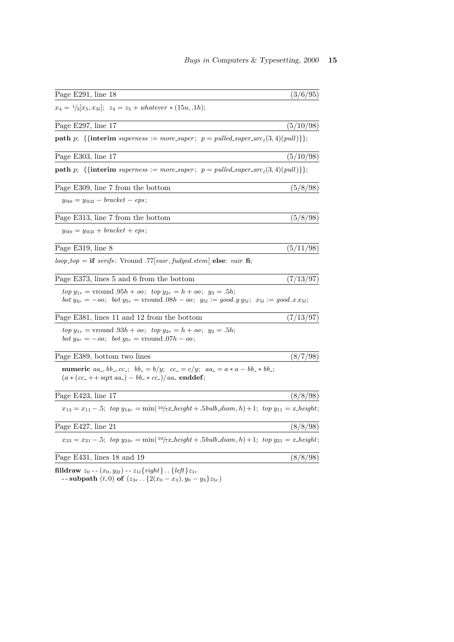| Page $E291$ , line 18                                                                                                                                                                                                             | (3/6/95)  |
|-----------------------------------------------------------------------------------------------------------------------------------------------------------------------------------------------------------------------------------|-----------|
| $x_4 = \frac{1}{3}[x_5, x_{3l}]$ ; $z_4 = z_5 + whatever * (15u, .1h)$ ;                                                                                                                                                          |           |
| Page E297, line 17                                                                                                                                                                                                                | (5/10/98) |
| <b>path</b> p; {{interim superness := more_super; $p = pulled\_super_{arC_1}(3, 4)(pull)$ };                                                                                                                                      |           |
| Page E303, line 17                                                                                                                                                                                                                | (5/10/98) |
| <b>path</b> p; {{interim superness := more_super; $p = pulled\_super\_arc_1(3, 4)(pull)$ };                                                                                                                                       |           |
| Page E309, line 7 from the bottom                                                                                                                                                                                                 | (5/8/98)  |
| $y_{@0} = y_{@2l} - bracket -eps;$                                                                                                                                                                                                |           |
| Page E313, line 7 from the bottom                                                                                                                                                                                                 | (5/8/98)  |
| $y_{@0} = y_{@2l} + bracket + eps;$                                                                                                                                                                                               |           |
| Page E319, line 8                                                                                                                                                                                                                 | (5/11/98) |
| $loop\_top = \textbf{if} \text{ series:}$ Vround .77 [vair, fudged.stem] <b>else</b> : vair <b>fi</b> ;                                                                                                                           |           |
| Page E373, lines 5 and 6 from the bottom                                                                                                                                                                                          | (7/13/97) |
| $top y_{1r}$ = vround $.95h + oo$ ; $top y_{2r} = h + oo$ ; $y_3 = .5h$ ;<br><i>bot</i> $y_{4r} = -\omega$ ; <i>bot</i> $y_{5r} =$ vround $.08h - \omega$ ; $y_{5l} := \text{good}.y y_{5l}$ ; $x_{5l} := \text{good}.x x_{5l}$ ; |           |
| Page E381, lines 11 and 12 from the bottom                                                                                                                                                                                        | (7/13/97) |
| $top y_{1r}$ = vround $.93h + oo$ ; $top y_{2r} = h + oo$ ; $y_3 = .5h$ ;<br><i>bot</i> $y_{4r} = -\omega$ ; <i>bot</i> $y_{5r} =$ vround $.07h - \omega$ ;                                                                       |           |
| Page E389, bottom two lines                                                                                                                                                                                                       | (8/7/98)  |
| <b>numeric</b> $aa_-, bb_-, cc_; bb_+ = b/y$ ; $cc_+ = c/y$ ; $aa_- = a * a - bb_* bb_+$ ;<br>$(a * (cc_{-} + sqrt aa_{-}) - bb_{-} * cc_{-})/aa_{-}$ enddef;                                                                     |           |
| Page E423, line 17                                                                                                                                                                                                                | (8/8/98)  |
| $x_{13} = x_{11} - .5$ ; top $y_{14r} = \min(10/7x \text{.} height + .5 \text{.} b \text{.} diam, h) + 1$ ; top $y_{11} = x \text{.} height$ ;                                                                                    |           |
| Page E427, line 21                                                                                                                                                                                                                | (8/8/98)  |
| $x_{23} = x_{21} - .5$ ; top $y_{24r} = min(^{10/7}x \text{.} height + .5 \text{.} bub\_diam, h) + 1$ ; top $y_{21} = x \text{.} height$ ;                                                                                        |           |
| Page E431, lines 18 and 19                                                                                                                                                                                                        | (8/8/98)  |
| <b>filldraw</b> $z_0$ -- $(x_0, y_{2l})$ -- $z_{1l}$ { right } { left } $z_{1r}$                                                                                                                                                  |           |

 $-$  - subpath  $(t, 0)$  of  $(z_{3r}$  . .  $\{2(x_0 - x_3), y_0 - y_3\}z_{5r})$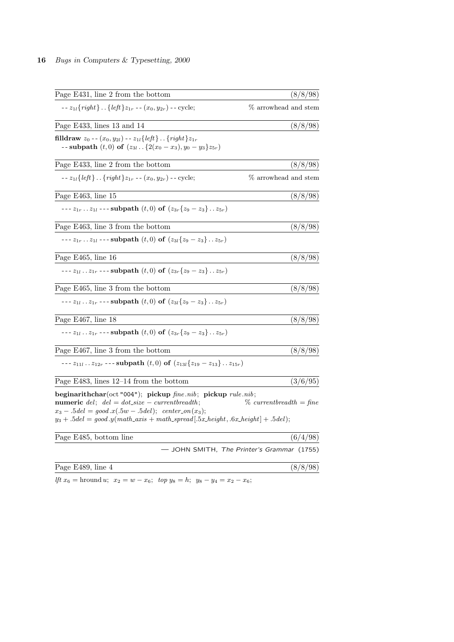| Page E431, line 2 from the bottom                                                                                                                                                                                                                                                     | (8/8/98)                                   |
|---------------------------------------------------------------------------------------------------------------------------------------------------------------------------------------------------------------------------------------------------------------------------------------|--------------------------------------------|
| $-2_{1l}$ { <i>right</i> }{ <i>left</i> } $z_{1r}$ -- $(x_0, y_{2r})$ -- cycle;                                                                                                                                                                                                       | % arrowhead and stem                       |
| Page E433, lines 13 and 14                                                                                                                                                                                                                                                            | (8/8/98)                                   |
| <b>filldraw</b> $z_0$ -- $(x_0, y_{2l})$ -- $z_{1l}$ { <i>left</i> } { <i>right</i> } $z_{1r}$<br>-- subpath $(t,0)$ of $(z_{3l}$ { $2(x_0 - x_3), y_0 - y_3\}z_{5r}$ }                                                                                                               |                                            |
| Page E433, line 2 from the bottom                                                                                                                                                                                                                                                     | (8/8/98)                                   |
| -- $z_{1l}$ { <i>left</i> }{ <i>right</i> } $z_{1r}$ -- $(x_0, y_{2r})$ -- cycle;                                                                                                                                                                                                     | % arrowhead and stem                       |
| Page E463, line 15                                                                                                                                                                                                                                                                    | (8/8/98)                                   |
| --- $z_{1r}$ $z_{1l}$ --- subpath $(t,0)$ of $(z_{3r} \{z_9 - z_3\}$ $z_{5r}$ )                                                                                                                                                                                                       |                                            |
| Page E463, line 3 from the bottom                                                                                                                                                                                                                                                     | (8/8/98)                                   |
| --- $z_{1r}$ $z_{1l}$ --- subpath $(t,0)$ of $(z_{3l} \{z_9 - z_3\}$ $z_{5r}$ )                                                                                                                                                                                                       |                                            |
| Page E465, line 16                                                                                                                                                                                                                                                                    | (8/8/98)                                   |
| --- $z_{1l}$ $z_{1r}$ --- subpath $(t,0)$ of $(z_{3r} \{z_9 - z_3\}$ $z_{5r}$ )                                                                                                                                                                                                       |                                            |
| Page E465, line 3 from the bottom                                                                                                                                                                                                                                                     | (8/8/98)                                   |
| --- $z_{1l}$ $z_{1r}$ --- subpath $(t,0)$ of $(z_{3l} \{z_9 - z_3\}  z_{5r})$                                                                                                                                                                                                         |                                            |
| Page E467, line 18                                                                                                                                                                                                                                                                    | (8/8/98)                                   |
| --- $z_{1l}$ $z_{1r}$ --- subpath $(t,0)$ of $(z_{3r} \{z_9 - z_3\}$ $z_{5r}$ )                                                                                                                                                                                                       |                                            |
| Page E467, line 3 from the bottom                                                                                                                                                                                                                                                     | (8/8/98)                                   |
| --- $z_{11l}$ $z_{12r}$ --- subpath $(t,0)$ of $(z_{13l} \{z_{19} - z_{13}\}$ $z_{15r}$ )                                                                                                                                                                                             |                                            |
| Page E483, lines $12-14$ from the bottom                                                                                                                                                                                                                                              | (3/6/95)                                   |
| beginarithchar(oct "004"); pickup fine.nib; pickup rule.nib;<br><b>numeric</b> del; $del = dot\_size - currentbreadth;$<br>$x_3 - .5del = good.x(.5w - .5del);$ center_on(x <sub>3</sub> );<br>$y_3 + .5del = good.y(math\_axis + math\_spread . 5x\_height, .6x\_height   + .5del);$ | $\%$ currentbreadth = fine                 |
| Page E485, bottom line                                                                                                                                                                                                                                                                | (6/4/98)                                   |
|                                                                                                                                                                                                                                                                                       | - JOHN SMITH, The Printer's Grammar (1755) |
| Page E489, line 4                                                                                                                                                                                                                                                                     | (8/8/98)                                   |
|                                                                                                                                                                                                                                                                                       |                                            |

*lft*  $x_6$  = hround *u*;  $x_2 = w - x_6$ ; *top*  $y_8 = h$ ;  $y_8 - y_4 = x_2 - x_6$ ;